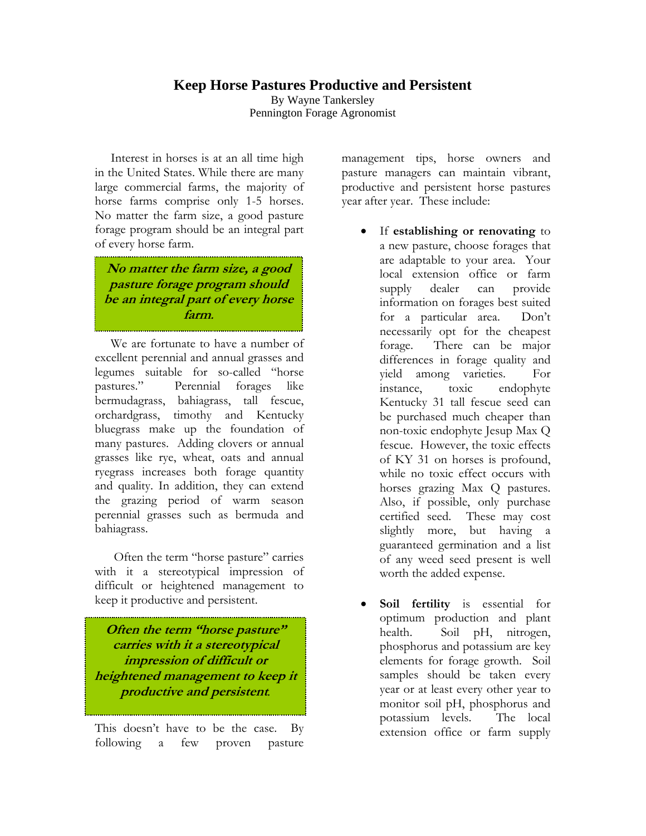## **Keep Horse Pastures Productive and Persistent**

By Wayne Tankersley Pennington Forage Agronomist

 Interest in horses is at an all time high in the United States. While there are many large commercial farms, the majority of horse farms comprise only 1-5 horses. No matter the farm size, a good pasture forage program should be an integral part of every horse farm.

**No matter the farm size, a good pasture forage program should be an integral part of every horse farm.** 

i<br>C

.

 We are fortunate to have a number of excellent perennial and annual grasses and legumes suitable for so-called "horse pastures." Perennial forages like bermudagrass, bahiagrass, tall fescue, orchardgrass, timothy and Kentucky bluegrass make up the foundation of many pastures. Adding clovers or annual grasses like rye, wheat, oats and annual ryegrass increases both forage quantity and quality. In addition, they can extend the grazing period of warm season perennial grasses such as bermuda and bahiagrass.

 Often the term "horse pasture" carries with it a stereotypical impression of difficult or heightened management to keep it productive and persistent.

**Often the term "horse pasture" carries with it a stereotypical impression of difficult or heightened management to keep it productive and persistent***.*

This doesn't have to be the case. By following a few proven pasture management tips, horse owners and pasture managers can maintain vibrant, productive and persistent horse pastures year after year. These include:

- If **establishing or renovating** to a new pasture, choose forages that are adaptable to your area. Your local extension office or farm supply dealer can provide information on forages best suited for a particular area. Don't necessarily opt for the cheapest forage. There can be major differences in forage quality and yield among varieties. For instance, toxic endophyte Kentucky 31 tall fescue seed can be purchased much cheaper than non-toxic endophyte Jesup Max Q fescue. However, the toxic effects of KY 31 on horses is profound, while no toxic effect occurs with horses grazing Max Q pastures. Also, if possible, only purchase certified seed. These may cost slightly more, but having a guaranteed germination and a list of any weed seed present is well worth the added expense.
- Soil fertility is essential for optimum production and plant health. Soil pH, nitrogen, phosphorus and potassium are key elements for forage growth. Soil samples should be taken every year or at least every other year to monitor soil pH, phosphorus and potassium levels. The local extension office or farm supply